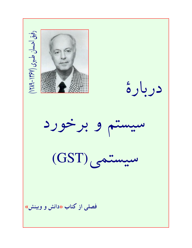رفیق احسان طبری (۱۳۶۷-۱۲۸۹ دربارة سیستم و برخورد (GST) commun فصلی از کتاب «دانش و وبینش»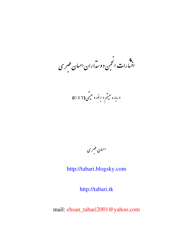.»<br>انتبارات انجمن دوسداران احبان طسری

درباره ستم و برخورد سیمی (G S T)

احبان طمری

http://tabari.blogsky.com

http://tabari.tk

mail: ehsan\_tabari2001@yahoo.com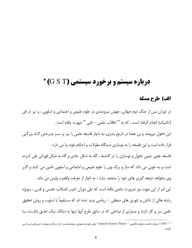# **درباره سیستم و برخورد سیستمی (G S T) \***

#### الف) طرح مسئله

در دوران پس از جنگ دوم جهانی، جهش نیرومندی در علوم طبیعی و اجتماعی و اسلوبی ، و نیز در فن (تكنيك) انحام گرفته است ، كه به " انقلاب علمي — فني " شهرت بافته است . این تحول نیرومند و بی همتا در تاریخ بشری، به ناچار فلسفه علمی را نیز بر سـر چـرخش گـاه بزرگـی قرار داده است و این فلسفه را به نوسازی دستگاه مقولات و احکام خود، وا می دارد . فلسفه علمی چنین تحول و نوسازی را در گذشته ، گاه به شکل عادی و گاه به شکل فورانی طی کرده است و به خوبي مي داند كه ساز و برگ وي را علوم طبيعي و اجتماعي و اسلوبي تامين مي كنند و اگـر وی بخواهد نتیجه گیری های خود را منجمد سازد ، به ناچار از معرفت واقعیت واپس می ماند . این امر از این جهت نیز ضرورت خاص یافته است که طی دوران اخیـر انقــلاب علمــی و فنــی ، بــویژه رشته هائی از دانش و تئوری های منطقی — ریاضی پدید شده اند که مستقیماً با اسلوب و روش تحقیق علمی سر و کار دارند و بسیاری از مباحثی که در سابق طرح آنها تنها به دیالک تیک تعلـق داشـت، بـا

<sup>\* &</sup>quot; GST " حروف نخست عنوان انگلیسی " General System Theory " یعنی تئوری عمومی سیستم اسـت کـه بـرای سـہولت (جـی.اس.تـی) مـی گويند.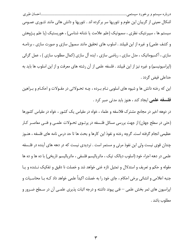اشکال معینی از گریبان این علوم و تئوریها سر برکرده اند . تئوریها و دانش هائی مانند تئـوری عمـومی سیستم ها ، سیبرنتیک نظری ، سمیوتیک (علم علامت یا نشانه شناسی) ، هوریستیک (یا علم پـژوهش و کشف علمی) و غیره از این قبیلند . اسلوب های تحقیق مانند سمبول سازی و صورت سازی ، برنامـه سازی ، آکسیوماتیک ، مدل سازی ، ریاضی سازی ، ایده آل سازی (کمال مطلوب سازی ) ، عمل گرائی (اپراسیونیسم) و غیره نیز از این قبیلند . فلسفه علمی از آن رشته های معرفت و از این اسلوب ها باید به حداعلى فيض گردد .

این که رخنه دانش ها و شیوه های اسلوبی نـام بـرده ، چـه تحـولاتی در مقـولات و احکـام و بـراهین **فلسفه علمی** ایجاد کند ، هنوز باید مدتی صبر کرد .

در دوهه اخیر در مجامع مشترک فلاسفه و علماء ، خواه در مقیاس یک کشور ، خواه در مقیاس کشورها (حتى در سطح جهان) از جهت بررسى مسائل فلـسفه در پرتـوى تحـولات علمـى و فنـى معاصـر كـار عظیمی انجام گرفته است. گرچه رخنه و نفوذ این کارها و بحث ها تا حد درس نامه های فلسفه ، هنـوز چندان قوی نیست ولی این نفوذ مرئی و مستمر است . تردیدی نیست که در دهه های آینده در فلـسفه علمی در دهه اجراء خود (اسلوب دیالک تیک ، ماتریالیسم فلسفی ، ماتریالیسم تاریخی) با ده ها و ده ها مقوله و حکم و تعریف و استدلال و تمثیل تازه غنی خواهد شد و خصلت نا دقیق و تفکیک نـشده و پـا جنبه اعلامی و انشائی برخی احکام ، جای خود را به خصلت اکیداً علمی خواهد داد کـه بـا محاسـبات و اپراسیون های ثمر بخش علمی — فنی پیوند داشته و درجه اثبات پذیری علمـی آن در سـطح ضـرور و مطلوب باشد .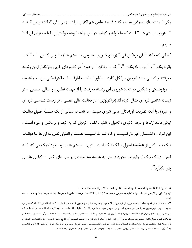یکی از رشته های معرفتی معاصر که درفلسفه علمی هم اکنون اثرات مهمی باقی گذاشته و می گـذارد " تئوری سیستم ها " است که ما خواهیم کوشید در این نوشته کوتاه خواستاران را با محتوای آن آشنا سازيم .

كساني كه مانند " فن برتالان في " (واضع تئــوري عمــومي سيــستم هــا) ، " و. ر. اشــبي " ، " ک . بائولدينگ " ، " س . وادينگتن "، " ک . ا . فاگن " و غيره` در کشورهاي غربي بنيانگذار ايـن رشـته معرفتند و كساني مانند آنوخين ، رانگل گارد، آ . لياپونف، ک. خايلوف ، آ . مالينوفسكي ، ن . تيمافه يف – روزوفسکی و دیگران در اتحاد شوروی این رشـته معرفـت را از جهـت نظـری و عـالی عـصبی ، در زیست شناسی ذره ای دنبال کرده اند (دراکولوژی ، در فعالیت عالی عصبی ، در زیست شناسـی ذره ای و غیره) . با آنکه نظریات آورندگان غربی تئوری سیستم ها تائید درخشانی از یک سلسله اصول دیالک تیکی مانند ارتباط و درهم تاثیری ، تحول و تغئیر ، تضاد ، تبدیل کم به کیف و برعکس و غیره است ، این افراد ، دانشمندان غیر مارکسیست و گاه ضد مارکسیست هستند و انطباق نظریات آن ها بـا دیالـک تیک تنها ناشی از **عینیت** اصول دیالک تیک است . تئوری سیستم ها به نوبه خود کمک می کند کـه اصول دیالک تیک از چارچوب تجرید فلسفی به عرصه محاسبات و بررسی های کمی — کیفـی علمـی پای بگذارد<sup>۲</sup> .

L. Von Bertalanffy, W.R. Ashby, K. Baulding, C. Waddington K.E. Fagen. - 1

لودویک فن برتالان فی در 1940 پایه " تئوری عمومی سیستم ها " (GST) *ر*ا گذاشت . وی در تماس با سیبرنتیک به تعمـیم هـای خـود دسـت *ز*ده

۲− در مصاحبه ای که به مناسبت ۸۰- مین سال *ز*اد روز با آکادمیسین معروف شوروی میتین شده و در شماره ۵ " مجله فلسفی " (۱۹۸۱) به چاپ رسیده ، وی نظیر همین اندیشه را درباره رابطه تئوری عمومی سیستم ها و دیالک تیک اظهار داشته است و تائید کرده که فلـسفه در آسـتانه یـک چرخش سریع تکاملبی قرا*ر* گرفته است . دربا*ر*ه اینکه تئوری این که سیستم ها ا*ز* جهت علمی حاصل بخش است یا نه بحث بزر گی است ولی خود **فن برتالان فی** با نطباق تئوری عمومی سیستم ها بر <sup>"</sup> روند *ر*شد و گسترش فردی د*ر* زیست شناسی " به نتایج مهمی *ر*سید و نیز دانشمندان شوروی در زمینه های مختلف تئوری را با موفقیت انطباق داده اند و در ثمر بخشی علمی و علمی تئوری نمی توان تردیدی کرد . (تا کنون در زبان شناسی ، پداگوژی ، جامعه شناسی ، زیست شناسی ، روان شناسی ، مکانیک ، جغرافیا ، زمین شناسی و غیره کاربرد یافته است) .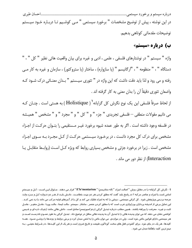در این نوشته ، پیش از توضیح مشخصات " برخورد سیستمی " مــی کوشــیم تـا دربـاره خـود سیــستم توضيحات مقدماتي كوتاهي بدهيم.

ب) درباره «سیستم»

واژه " سيستم " در نوشتارهاي فلسفي ، علمي ، ادبي و غيره براي بيان واقعيت هائي نظير " كل " ، " دستگاه " ، " منظومه " ، "ارگانیسم " (یا سازواره) ، ساختار (یا ستروکتور) ، سازمان و غیره به کار مے رفته و مي رود و لذا بايد دقت داشت كه اين واژه در " تئوري سيـستم " بـدان معنـائي درك شـود كـه واضعان تئوري دقيقاً أن را بدان معنى به كار گرفته اند .

از لحاظ صرفاً فلسفى اين يک نوع نگرش کل گرايانه' ( Holistique ) به هستى است . چنــان کــه مى دانيم مقولات منطقى — فلسفى تجريدى " جزء " و " كل " و " مجرد " و " مشخص " هميــشه در فلسفه وجود داشته است . اگر به طور عمده شیوه برخورد غیـر مـستقیمی را بتـوان حرکـت از اجـزاء مشخص برای درک کل مجرد دانست ، در برخـورد سیـستمی حرکـت از کـل مجـرد بـه سـوی اجـزاء مشخص است . زیرا در برخورد جزئی و مشخص بسیاری روابط که ویژه کـل اسـت (روابـط متقابـل یـا Interaction) از نظر دور می ماند .

**۱– نک**رش کل گرایانه *ر*ا در مقابل *ر*وش " اصالت اجزاءِ " (اله منتاریسم) " E'le'mentarism " قرا*ر* می دهند . سـئوال ایـن اسـت ؛ کـل و سیـستم اساس است یا اجزاءِ و عناصر مرکبه ؟ در پاسخ باید گفت که مطلق کردن هر دو جبت خطاسـت . دانـش بایـد از هـر دو دروازه کـل و جـزءِ وارد عرصه بررسی وپژوهش شود . کل گرائی سیستمی ، روشی را که به اجزاءِ تفکیک می کند و کل را از آجرهای اولیه مرکب می داند را رد نمی کنـد . این تمایل برخی از اندیشه پردازان بورژوازی غرب است که با مطلق کردن عنصر ، ساختار ، سیستم ، حالت ایستا ، حالت پویـا ، عامــل متغیـر ، عامــل ثابت و غیره . معرفت را بیراهه بکشند . همین مطلب درباره تبدیل گرائی (ردوکسیونیسم) صادق است . دانش هائی مانند ژنتیک ذره ای و شـیمی کوانتمی نشان می دهد که می توان پدیده هائی *ر*ا با تبدیل آن به پدیده هائی سافل تر توضیح داد . تبدیل گرائی به طور عمـوم نادرسـت اسـت و هر سیستمی دا*ر*ای قوانین خاص خود است ، ولی د*ر* موا*ر*دی می توان خاص *ر*ا به اخص مبدل کرد و برخی *رو*ابط و *روندها را رو*شـن نمـود . همـه کلیدها ، هر یک در جای خود ، برای گشودن قفل های سخت گوناگون طبیعت و تا*ز*یخ ضرور است و هر یک از این کلیـدها ، در شـرایط معینـی ، بـه مہم ترین کلید راھگشا مبدل می شود .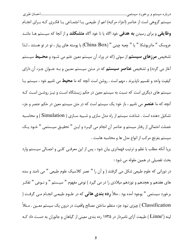سیستم گروهی است از عناصر (اجزاء مرکبه) اعم از طبیعـی یـا اجتمـاعی یـا فکـری کـه بـرای انجـام **وظایفی** و برای رسیدن **به هدفی** خود اگاه یا نا خود آگاه **متشکلند** و از آنجا که سیستم هـا ماننـد عروسک " ماتريوشكا " يا " چعبه چيني " (China Box) يا پوسته هاي پياز ، تو در تو هستند ، لـذا تشخیص **مرزهای سیستم** از سوئی (که در وراء اًن سیستم معین ختم می شـود و **محــیط** سیـستم آغاز می گردد) و تشخیص **عناصر سیستم** که در مـتن سیـستم معـین و بـه عنـوان جـزء آن دارای کیفیت واحد و تقسیم ناپذیرند ، مهم است . روشن است آنچه که ما **محیط** می نامیم خود ، سیستم یــا سیستم های دیگری است که نسبت به سیستم معین در حکم زیستنگاه اسـت و نیـز روشـن اسـت کـه آنچه که ما **عنصر** می نامیم ، باز خود یک سیستم است که در متن سیستم معین در حکم عنصر و جزء تشکیل دهنده است . شناخت سیستم از راه مدل سازی و شـبیه سـازی ( Simulation ) و محاسـبه خصلت احتمالی از رفتار سیستم و عناصر آن انجام می گیـرد و ایـن " تحقیـق سیـستمی " خـود یـک سیستم بغرنج مرکب از انواع مدل ها و محاسبه هاست .

بریا آنکه مطلب با نظم و ترتیب فهماتری بیان شود ، پس از این معرفـی کلـی و اجمـالی سیـستم وارد بحث تفصيلي در همين مقوله مي شود :

در دورانی که علوم طبیعی شکل می گرفتند ( و آن را " عصر کلاسیک علوم طبیعی " می نامند و سده های هفدهم و هجدهم و نوزدهم میلادی را در می گیرد ) نوعی مفهوم " سیـستم " و نـوعی " تفکـر برخورد سیستمی " بوجود آمده بود . مثلاً **رده بندی هائی** که در علـوم طبیعـی انجـام مـی گرفـت ( Classification ) چیزی نبود جزء منظم ساختن مصالح واقعیت در درون یک سیستم معـین . مـثلاً لینه ('Linne ) طبیعت آزای نامبردار در ۱۷۳۵ رده بندی معینی از گیاهان و جانوران به دست داد ک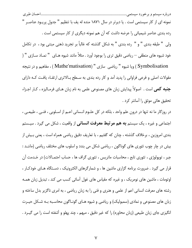نمونه ای از کار سیستمی است . یا دیرتر در سال ۱۸۷۱ منده له یف با تنظیم " جدول پریـود عناصـر "

رده بندی عناصر شیمیائی را عرضه داشت که آن هم نمونه دیگری از کار سیستمی است . ولي " طبقه بندي " و " رده بندي " به شكل گذشته كه غالباً بر تجريد ذهني مبتني بود ، در تكامل خود شیوه های منطقی — ریاضی دقیق تری را بوجود آورد . مثلاً مانند شیوه هـای " نمـاد سـازی " ( Symbolisation ) ويا شيوه " رياضي سازي " (Mathe'matisation ) ، مفاهيم و در نتيجه

مقولات اصلی و فرعی فراوانی را پدید آمد و کار رده بندی به سـطح بـالاتری ارتقـاء یافـت کـه دارای **جنبه کمی** است . اصولاً پیدایش زبان های مصنوعی علمی به نام زبان هـای فرمـالیزه ، کـار اجـزاء تحقیق هائی موثق را آسانتر کرد .

در روزگار ما نه تنها در درون علم واحد ، بلكه در كل علـوم انـساني اعـم از اسـلوبي ، فنـي ، طبيعـي ، اجتماعی و غیره ، یک سیستم **به هم مرتبط معرفت انسانی** از واقعیت ، شکل می گیرد . سیـستم بندی امروزین ، برخلاف گذشته ، چنان که گفتیم ، با تعاریف دقیق ریاضی همراه است ، یعنی بـیش از بیش در چار چوب تئوری های گوناگون ، ریاضی شکل می بندد و اسلوب های مختلف ریاضی (ماننــد : جبر ، توپولوژی ، تئوری تابع ، محاسبات ماتریس ، تئوری گراف ها ، حساب احتمـالات) در خـدمت آن قرار می گیرد . ضرورت برنامه گزاری ماشین ها ، و شمارگرهای الکترونیک ، دسـتگاه هـای خودکـار ، اوتومات ، ماشین های نومریک ، و غیره که مقیاس های غول آسائی کسب می کند ، تبدیل زبان همـه رشته های معرفت انسانی اعم از علمی و هنری و فنی را به زبان ریاضی ، به امری ناگزیر بدل ساخته و زبان های مصنوعی و نمادی (سمبولیک) و ریاضی و شیوه هـای گونـاگون محاسـبه بـه شـكل حيـرت انگیزی جای زبان طبیعی (زبان محاوره) را که غیر دقیق ، مبهم ، چند پهلو و آشفته است را می گیــرد .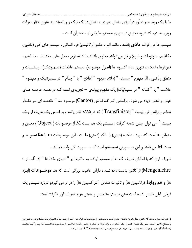ما با یک روند حیرت آور درآمیزی منطق صوری ، منطق دیالک تیک و ریاضیات به عنوان افزار معرفت روبرو هستیم که شیوه تحقیق در تئوری سیستم ها یکی از مظاهرآن است .

سیستم ها می توانند **مادی** باشند ، مانند اتم ، عضو (ارگانیسم) فرد انسانی ، سیستم های فنی (ماشین، مکانیسم ، اوتومات و غیره) و نیز می توانند معنوی باشند مانند تصاویر ، مدل های مختلـف ، مفــاهیم ، نمودارها ، احکام ، تئوری ها ، اکسیوم ها (اصول موضوعه)، سیستم علامات (سـمیوتیک) ، ریاضـیات و منطق رياضي . لذا مفهوم " سيستم " (مانند مفهوم " اطلاع " يا " پيـام " در سـيبرنتيک و مفهـوم " علامت " یا " نشانه " در سمیوتیک) یک مفهوم پیوندی — تجریدی است کـه در همـه عرصـه هـای عینی و ذهنی دیده می شود . براساس اثـر گ.کـانتور (Cantor) موسـوم بـه " مقدمـه ای بـر مقـدار شناسی ترانس فی نیست " (Transfiniste ) که در ۱۸۹۵ نشر یافته و بر اساس یک تعریف از یک سیستم $^\prime$  می توان چنین نتیجه گرفت : سیستم یک هم بست  $\rm M$  از موضـوعات ( Object ) معـین و متمايز m است كه مورد مشاهده (عيني) يا تفكر (ذهني) ماست . اين موضـوعات m را **عناصــر** هــم بست M می نامند و این در صورتی **سیستم** است که به صورت کل واحد در آید . تعريف فوق كه با انطباق تعريف كله نه از سيستم (ر.ك. به حاشيه) بر " تئوري مقدارها " (در آلمــاني :

Mengenlehre) از کانتور بدست داده شده ، دارای عامیت بزرگی است که هم **موضــوعات** (ابـژه ها) و **هم روابط** (رلاسیون ها) و تاثیرات متقابل (انترآکسیون ها) را در بر می گیردو درباره سیستم یک فرض قبلی خاص نشده است یعنی سیستم مشخص و معینی مورد تعریف قرار نگرفته است.

۱– تعریف مورد بحث که کانتور بدان توجه داشته ، چنین است : سیستمی از موضوعات (ابژه ها = اعم از عینی یـا ذهنـی) ، یـک مقـدار دو محتـوی و باصطلاح نا تہی است ، یعنی یک طبقه (کلاس) ، یک گستره ، یا چند طبقه و گستره (یعنـی مقـدار نـا تہـی از موضـوعات) اسـت کـه بـین آنہـا *ر*وابـط (Relation) معینی وجود داشته باشد . این تعریف از سیستم *ر*ا س.کله نه (S.C.Kleene) یاد می کند .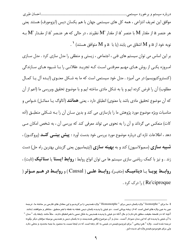موافق این تعریف انتزاعی ، همه کل های سیستمی جهان با هم یکسان دیس (ایزومورف) هستند یعنی هر عنصر a از مقدار  $\rm M$  با عنصر 'a از مقدار ' $\rm M$  نظیرند ، در حالی که هر عنـصر 'a از مقـدار ' $\rm M$  بـه  $\left.\cdot\right\}$  نوبه خود از  $\left.\text{a}\right.$  اشقاق می یابند (یا با  $\left.\text{a}\right.$  و  $\text{M}$  متوافق هستند)  $\cdot$ 

بر این اساس می توان سیستم های فنی ، اجتماعی ، زیستی و منطقی را مدل سازی کرد . مدل سـازی امـروزه یکـی از روش هـای مهـم معرفتـی اسـت کـه تجریـد عقلانـی را بـا شـیوه هـای سـازندگی (کنستروکتیویسم) در می آمیزد . مدل خود سیستمی است که ما به شـکل معنـوی (ایـده آل یـا کمـال مطلوب) آن را فرض کرده ایم و یا به شکل مادی ساخته ایم و با موضوع تحقیق وبررسی ما (اعم از آن که آن موضوع تحقیق مادی باشد یا معنوی) انطباق دارد ، یعنی **همانند** (آنالوگ یـا مماثـل) خـواص و مناسبات ویژه موضوع مورد پژوهش ما را بازسازی می کند و بدین سـان آن را بـه شـکلی منطبــق (آده کات) منعکس می گرداند و آن را به نحوی می تواند معرفی کند که بررسی آن ، به شخص امکان مـی دهد ، اطلاعات تازه ای درباره موضوع مورد بررسی خود بدست آورد : **پیش بینــی کنــد** (پروگنــوز) ، **شبیه سازی** (سمیولاسیون) کند و به **بهینه سازی** (اپتیماسیون یعنی گزینش بهترین راه حل) دست زند . و نیز با کمک ریاضی سازی سیستم ها می توان انواع روابط : **روابط ایستا** یا **ستاتیک** (ثابت) ، روابــط پويــا يــا ديناميــك (متغيــر)، روابــط علــي ( Causal ) و روابــط در هــم مــؤثر ( l, (Re'ciproque) ا درک کرد .

**۱–** ما برای " Isomorphe " واژه یکسان دیس برای " Homomotphe " واژه همدیس *ر*ا بر گزیدیم و این معادل های فا*ر*سی بر ساخته ما ، ترجمه عین به عین واژه های اصلی است که از ریشه یونانی است . دو شیئی یا پدیده یکسان دیس نقطه به نقطه با هم منطبق ، متناظر و متوافقند (مانند آنچه که در فلسفه حقیقت مطلق نام دارد) و حال آنکه دو شیئی یا پدیده همدیس به شکل نسبی با هم انطباق دارند ، مثلاً مانند رابطه یک " مدل " با آن شیئی یا پدیده ای که این مدل نمودا*ر* آنست . مدل و آن موضوع واقعی همدیسند و نه یکسان دیس و همدیس بوسیله مؤلفان دیگر چگونه .<br>ترجمه شده است . واژه " هم ریختی " برای ایزومورفیسم در شیمی به کا*ر ر*فته است که در اینجا نسبت به منصور ما جنبه محدود و محلی دا*ر*د ولی برای هومومورفیسم واژه ای ندیده ایم .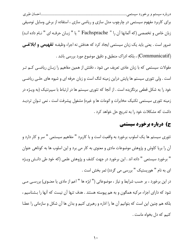برای کاربرد مفهوم سیستمی در چارچوب مدل سازی و ریاضی سازی ، استفاده از برخی وسایل توصیفی زبان خاص و تخصصي (كه آلمانها آن را " Fachsprache " يا " زبـان حرفـه اي " نـام داده انـد) ضرور است . یعنی باید یک زبان سیستمی ایجاد کرد که هدفش نه اجراء وظیفـه **تفهیمی و ابلاغــی** (Communicatif) ، بلكه ادراك منطبق و دقيق موضوع مورد بررسي باشد .

مقولات سیستمی که با زبان عادی تعریف می شود ، دقتش از همین مفاهیم را زبـان ریاضـی کـم تـر است . ولی تئوری سیستم ها پایش دراین زمینه لنگ است و زبان حرفه ای و شیوه های حلـی ریاضـی خود را به شکل قطعی برنگزیده است . از آنجا که تئوری سیستم ها در ارتباط با سیبرنتیک (به ویـژه در زمینه تئوری سیستمی تکنیک مخابرات و اتومات ها و غیره) مشغول پیشرفت است ، نمی تـوان تردیـد داشت که مشکلات خود را به تدریج حل خواهد کرد .

## ج) درباره برخورد سیستمی

تئوری سیستم ها یک اسلوب برخورد به واقعیت است و با کاربرد " مفاهیم سیستمی " سر و کار دارد و آن را بریا کاوش و پژوهش موضوعات مادی و معنوی به کار می برد و این اسلوب ها به کوتاهی عنوان " برخورد سیستمی " داده اند . این برخورد در جهت کشف و پژوهش علمی (که خود طی دانـش ویـژه ای به نام " هوریستیک " بررسی می گردد) ثمر بخش است .

در این برخورد ، بر حسب شرایط و نیاز ، موضوعاتی (" ابژه ها " اعم از مادی یا معنـوی) بررسـی مـی شود که دارای اجزاء مرکبه همگون و به هم پیوسته هستند . هدف تنها آن نیست که آنها را بـشناسیم ، بلکه هم چنین این است که بتوانیم آن ها را اداره و رهبری کنیم و بدان ها آن شکل و سازمانی را عطـا كنيم كه دل بخواه ماست .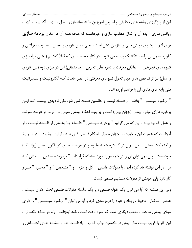این از ویژگیهای رشته های تحقیقی و اسلوبی امروزین مانند نمادسازی ، مدل سازی ، آکسیوم سـازی ، ریاضی سازی ، ایده آل یا کمال مطلوب سازی و غیرهاست که هدف همه آن ها امکان **برنامه سازی** برای اداره ، رهبری ، پیش بینی و سازمان دهی است ، یعنی مابین تئوری و عمـل ، اسـلوب معرفتـی و کاربرد علمی آن رابطه تنگاتنگ پدیده می شود . در کنار خصیصه ای که قبلاً گفتـیم (یعنـی درآمیــزی شیوه های تجریدی — عقلانی معرفت یا شیوه های تجربی — ساختمانی) این درآمیزی دوم (بین تئوری و عمل) نیز از شاخص های مهم تحول شیوهای معرفتی در عصر ماست کـه الکترونیـک و سـیبرنتیک فني پايه هاي مادي آن را فراهم آورده اند .

" برخورد سیستمی " بخشی از فلسفه نیست و جانشین فلسفه نمی شود ولی تردیدی نیـست کـه ایـن برخورد دارای مبانی بینشی (جهان بینی) است و بر بنیاد احکام بینشی معینی می تواند در عرصه معرفت و عمل كاربرد بيابد . اين كه مي گوئيم " برخورد سيستمي " فلـسفه يـا بخـشي از فلـسفه نيـست ، از آنجاست که عامیت این برخورد ، با جهان شمولی احکام فلسفی فرق دارد . از این برخورد — در شــرایط و احتمالات معینی – می تـوان در گـستره همـه علـوم و در عرصـه هـای گونـاگون عمـل (پراتیـک) سودجست . ولی نمی توان آن را در همه موارد مورد استفاده قرار داد . " برخورد سیستمی " ، چنان کـه در آغاز این نوشته یاد کرده ایم ، با مقولات فلسفی " کل و جزء " و " مشخص " و " مجــرد " ســر و كار دارد ولى خودش از مقولات مستقيم فلسفى نيست .

ولي اين مسئله كه أيا مي توان يک مقوله فلسفي ، يا يک سلسله مقولات فلسفي تحت عنوان سيستم ، عنصر ، ساختار ، محیط ، رابطه و غیره را فرمولبندی کرد و آیا می توان " برخورد سیـستمی " را دارای مبنای بینشی ساخت ، مطلب دیگری است که مورد بحث است . خود اینجانب ، ولو در سطح مقدماتی ، این کار را قریب بیست سال پیش در نخستین چاپ کتاب " یادداشت هـا و نوشـته هـای اجتمـاعی و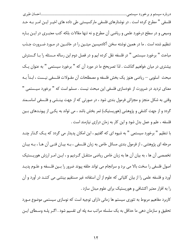فلسفی " مطرح کرده است . در نوشتارهای فلسفی مارکسیستی طی داده های اخیـر ایـن امـر بـه حـد وسیعی و در سطح درخورد علمی و ریاضی آن مطرح و نه تنها مقالات بلکه کتب معتبـری در ایـن بـاره تنظیم شده است . ما در همین نوشته سخن آکادمیسین میتـین را در حاشـین در مـورد ضـرورت جـذب مباحث " برخورد سیستمی " در فلسفه نقل کرده ایم و در فصل دوم این رساله مـسئله را بـا گـسترش بیشتری در میان خواهیم گذاشت . لذا تصریحخ ما در مورد آن که " برخورد سیستمی " به عنوان یـک مبحث اسلوبی — ریاضی هنوز یک بخش فلسفه و مصطلحات آن مقـولات فلـسفی نیـست ، ابـداً بـه معنای تردید در ضرورت از خودسازی فلسفی این مبحث نیست . مسلم است که " برخورد سیـستمی " وقتی به شکل منجز و مجزائی فرمول بندی شود ، در صورتی که از جهت بینـشی و فلـسفی اساسـمند گردد و از جهت کشفی و پژوهشی (هوریستیک) ثمر بخش باشد ، می تواند به یکـی از پیونـدهای بـین فلسفه ، علم و عمل بدل شود و این کار به زمان درازی نیازمند است .

با تنظیم " برخورد سیستمی " به شیوه ای که گفتیم ، این امکان پدیدار می گردد که یـک گـذار چنـد مرحله ای پژوهشی ، از فرمول بندی مسائل خاص به زبان فلـسفی ، بـه بیـان فنـی آن هـا ، بـه بیـان تخصصی آن ها ، به بیان آن ها به زبان خاص ریاضی منتقـل گـردیم و ، ایـن امـر ارزش هوریـستیک اصول فلسفی را سخت بالا می برد و سرانجام می تواند حلقه پیوند ضرور را بـین فلـسفه و علـوم پدیـد آورد و فلسفه علمی را از بیان کلیاتی که علوم از آن استفاده غیر مستقیم بینش*ی* می کننـد در آورد و آن را به افزار معتبر اکتشافی و هوریستیک برای علوم مبدل سازد .

کاربرد مفاهیم مربوط به تئوری سیستم ها زمانی دارای توجیه است که نوسازی سیستمی موضوع مـورد تحقیق و سازمان دهی ما حداقل به یک سلسله مراتب سه یله ای تقسیم شود . اگـر یلـه وسـطای ایـن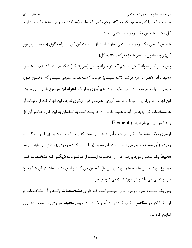سلسله مراتب را کل سیستم بگیریم (که مرجع دائمی فکرماست)مشاهده و بررسی مشخصات خود ایـن کل ، هنوز شاخص یک برخورد سیستمی نیست .

شاخص اساسی یک برخورد سیستمی عبارت است از مناسبات این کل ، با پله مافوق (محیط یا پیرامون كل) و پله مادون (عنصر يا جزء تركيب كننده كل) .

پس ما در کنار مقوله " کل سیستم " با دو مقوله پلکانی (هیرارشیک) دیگر هم آشـنا شـدیم : عنـصر ، محیط . اما عنصر (یا جزء مرکب کننده سیستم) چیست ؟ مشخصات عمومی سیستم که موضـوع مـورد بررسی ما را به سیستم مبدل می سازد ، از در هم آویزی و ارتباط **اجزا**ء این موضوع ناشی مــی شــود . این اجزاء ، در وراء این ارتباط و در هم آویزی ِ هویت واقعی دیگری ندارد . این اجزاء کـه از ارتبــاط آن ها مشخصات كل پديد مي آيد و هويت خاص آن ها بسته است به تعلقشان به اين كل ، عناصر آن كل یا عناصر سیستم نام دارد . ( Element )

از سوی دیگر مشخصات کلی سیستم ، آن مشخصاتی است که بـه تناسـب محـیط (پیرامـون ، گـستره وجودی) أن سیستم معین می شوند ، و در أن محیط (پیرامون ، گستره وجودی) تحقق می یابند . پـس **محیط** یک موضوع مورد بررسی ما ، آن مجموعه ایـست از موضـوعات **دیگــر** کـه مشخـصات کلــی موضوع مورد بررسی ما (سیستم مورد بررسی ما) را تعیین می کنند و ایـن مشخـصات در آن هـا وجـود دارد و تجلی می یابد و در خورد اثبات می شود و غیره .

پس یک موضوع مورد بررسی زمانی سیستم است کـه دارای **مشخــصات** باشـد و آن مشخـصات در ارتباط با اجزاء و **عناصر** ترکیب کننده پدید آید و خـود را در درون **محیط** وجـودی سیـستم متجلـی و نمايان گرداند .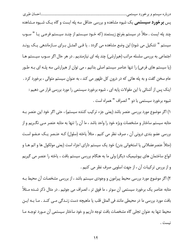پس **برخورد سیستمی** یک شیوه مشاهده و بررسی حداقل سه پله ایست و گاه یـک شـیوه مـشاهده چند پله ایست . مثلاً در سیستم بغرنج زیستمند (که خـود سیــستم از چنــد سیــستم فرعــی یــا " ســوب سیستم " تشکیل می شود) این وضع مشاهده می گردد . یا فـی المثـل بـرای سـازماندهی یـک رونـد اجتماعی به بررسی سلسله مراتب (هیرارشی) چند پله ای نیازمندیم . در هر حال اگر سـوب سیـستم هـا (یا سیستم های فرعی) را تنها عناصر سیستم اصلی بدانیم ، می توان از هیرارشی سه پلـه ای بـه طـور عام سخن گفت و به پله هائی که در درون کل ظهور می کند ، به عنوان سیستم متوالی ، برخورد کرد . اینک پس از آشنائی با این مقولات پایه ای ، شیوه برخورد سیستمی را مورد بررسی قرار می دهیم : شيوه برخورد سيستمي با دو " انصراف " همراه است .

١) اگر موضوع مورد بررسی عنصر باشد (یعنی جزء ترکیب کننده سیستم) ، حتی اگر خود این عنصر بـه مثابه سیستم ساختار و مشخصات ویژه خود را واحد باشد ، ما آن را تنها به مثابه عنصر مــی نگــریم و از بررسي عضو بندي دروني اَن ، صرف نظر مي كنيم . مثلاً ياخته (سلول) كـه عنـصر يـك عـضو اسـت (مثلاً عنصرعضلانی یا استخوانی بدن) خود یک سیستم دارای اجزاء است (یعنی مولکول ها و اتم هـا و انواع ساختمان های بیوشیمیک دیگر) ولی ما به هنگام بررسی سیستم بافت ، یاخته را عنصر می گیریم و از بررس ترکیبات آن ، از جهت اسلوبی صرف نظر می کنیم .

۲) اگر موضوع مورد بررسی محیط پیرامون و وجودی سیستم باشد ، از بررسی مشخصات آن محیط بـه مثابه عناصر یک برخورد سیستمی آن سوتر ، ما فوق تر ، انصراف می جوئیم . در مثال ذکر شـده مـثلاً بافت مورد بررسی ما در محیطی مانند فی المثل قلب یا ماهیچه دست زنـدگی مـی کنـد . مـا بـه ایـن محیط تنها به عنوان تجلی گاه مشخصات بافت توجه داریم و خود ساختار سیستمی آن مـورد توجـه مـا نيست .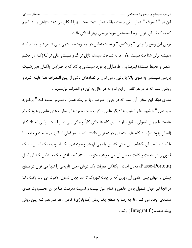این دو " انصراف " عمل منفی نیست ، بلکه عمل مثبت است ، زیرا امکان می دهد انتزاعی را بشناسیم که به کمک آن بتوان روابط سیستمی مورد بررسی بهتر آشنائی یافت .

برخی این وضع را نوعی " پارادکس " و تضاد منطقی در برخـورد سیـستمی مـی شـمرند و برآننـد کـه همیشه برای شناخت سیستم  $\rm A$  ، ما به شناخت سیستم نازل تر  $\rm B$  و سیستم عالی تر  $\rm C$  (کـه در حکــم عنصر و محیط هستند) نیازمندیم . طرفداران برخورد سیستمی برآنند که با افـزایش پلکـان هیرارشـیک بررسی سیستمی به سوی بالا یا پائین ، می توان بر تضادهای ناشی از ایـن انـصراف هـا غلبـه کـرد و روشن است که ما در هر گامی از این نوع به هر حال به این دو انصراف نیازمندیم .

معنای دیگر این سخن آن است که در جریان معرفت ، یا در روند عمـل ، ضـرور اسـت کـه " برخـورد سیستمی " با شیوه ها و اسلوب ها دیگر علمی ترکیب شود . شیوه ها و اسلوب های علمی , هیچ کـدام عامیت یا جهان شمولی مطلق ندارند . این کلیدها جائی کاراً و جائی بـی ثمـر اسـت . ولـی اسـتاد کـار (انسان پژوهنده) باید کلیدهای متعددی در دسترس داشته باشد تا هر قفلی از قفلهای طبیعت و جامعه را با کلید مناسب آن بگشاید . آن هائی که این را نمی فهمند و سودمندی یک اسلوب ، یک اصـل ، یـک قانون را در عامیت و کلیت محض آن می جویند ، متوجه نیستند که پـافتن یـک مـشکل گـشای کـل (Passe-Portout) محال است . یگانگی معرفت یک دوران معین تاریخی را تنها می توان در سطح بینش یا جهان بینی علمی آن دوران که از جهت تئوریک تا حد جهان شمول عامیت می یابد یافت . تـا در انجا نیز جهان شمول بودن خالص و تمام عیار نیست و نسبیت معرفت مـا در ان محـدودیت هـای متعددی ایجاد می کند ، تا چه رسد به سطح یک روش (متدولوژی) خاص ، هر قدر هم کـه ایـن روش ييوند دهنده ( Integratif ) باشد .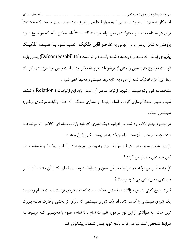لذا ، کاربرد شیوه " برخورد سیستمی " به شرایط خاص موضوع مورد بررسی مربوط است کـه محـتملاً برای هر مسئله معنامند و محتوامندی نمی تواند سودمند افتد . مثلاً باید ممکن باشد که موضـوع مـورد پژوهش به شکل روشن و بی ابهامی به **عناصر قابل تفکیک** ، تقسیم شـود یـا خصیـصه **تفکیــک پذیری** (واقعی نه تـوهمی) وجـود داشـته باشـد (در فرانـسه : 'De'composabilite) یعنـی بایـد توانست موضوع های معین را چنان از موضوعات مربوطه دیگر جدا ساخت و بین آنها مرز بندی کرد که ربط این اجزاء تفکیک شده از هم ، به مثابه ربط سیستم و محیط تلقی شود .

مشخصات كلى يك سيستم ، نتيجه ارتباط عناصر أن است . بايد اين ارتباطات ( Relation ) كـشف شود و سپس منطقاً نوسازی گردد . کشف ارتباط و نوسازی منطقـی آن هـا ، وظیفـه مرکـزی برخـورد سیستمے است .

در توضیح بیشتر نکات یاد شده می افزائیم : یک تئوری که خود بازتاب طبقه ای (کلاسی) از موضوعات تحت جنبه سیستمی آنهاست ، باید بتواند به دو پرسش کلی پاسخ بدهد :

۱) بین عناصر معین ، در محیط و شرایط معین چه روابطی وجود دارد و از ایـن روابـط چـه مشخـصات کلی سیستمی حاصل می گردد ؟

۲) چه عناصر می توانند در شرایط محیطی معین وارد رابطه شوند ، رابطه ای که از آن مشخصات کلـی سیستمی معین ناشی می شود چیست ؟

قدرت پاسخ گوئی به این سؤالات ، نخستین ملاک آنست که یک تئوری توانسته است مقـام وحیثیـت یک تئوری سیستمی را کسب کند . اما یک تئوری سیستمی که دارای اثر بخشی و قدرت فعالـه بـزرگ تری است ، به سؤالاتی از این نوع در مورد تغییرات تمام یا نا تمام ، معلوم یا مجهـولی کـه مربـوط بـه شرایط مشخص است نیز می تواند پاسخ گوید یعنی کشف و پیشگوئی کند .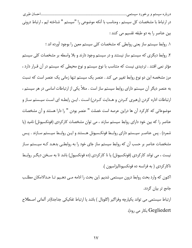در ارتباط با مشخصات کل سیستم ، ومناسب با آنکه موضوعی را "سیستم " شناخته ایم ، ارتباط درونی بین عناصر را به دو طبقه تقسیم می کنند :

٠. روابط سیستم ساز یعنی روابطی که مشخصات کلی سیستم معین را بوجود آورده اند ؛ ۲. روابط دیگری که سیستم ساز نیستند و در سیستم وجود دارند و بلا واسطه بر مشخصات کلی سیستم مؤثر نمی افتند . تردیدی نیست که متناسب با نوع سیستم و نوع محیطی که سیستم در آن قـرار دارد ، مرز مشخصه این دو نوع روابط تغییر می کند . عنصر یک سیستم تنها زمانی یک عنصر است که نسبت به عنصر دیگر آن سیستم دارای روابط سیستم ساز است . مثلاً یکی از ارتباطات اساسی در هر سیستم ، ارتباطات اداره کردن (رهبری کـردن و هـدایت کـردن) اسـت . ایـن رابطـه ای اسـت سیـستم سـاز و موضوعاتی که کارکرد آن ها دراین عرصه است خصلت " عنصر بودن " را دارا هستند و آن مشخصات عناصر را که بین خود دارای روابط سیستم سازند ، می توان مشخصات کارکردی (فونکسیونل) نامید (یا شمرد) . پس عناصـر سیـستم دارای روابـط فونکـسیونل هـستند و ایـن روابـط سیـستم سـازند . پـس مشخصات عناصر بر حسب آن که روابط سیستم ساز جای خود را به روابطـی بدهـد کـه سیـستم سـاز نیست ، می تواند کارکردی (فونکسیونل) یا نا کارکردی (ده فونکسیول) باشد تا به سـخن دیگـر روابـط ناكاركردى ( به فرانسه ده فونكسيوناليزاسيون ).

اکنون که وارد بحث روابط درون سیستمی شدیم .این بحث را ادامه مـی دهـیم تـا حـدالامکان مطلـب جامع تر بيان گردد.

ارتباط سیستمی می تواند یکپارچه وفراگیر (گلوبال ) باشد یا ارتباط تفکیکی جداجدا(در آلمانی اصطلاح Gegliedert بكار مى رود).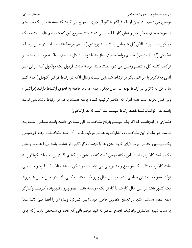توضیح می دهیم : در بیان ارتباط فراگیر یا گلوبال چیزی تصریح می گردد که همه عناصر یک سیـستم در مورد سیستم همان چیز وهمان کار را انجام می دهند.مثلا تصریح این که همه اتم های مختلف یک مولکول به صورت فلان کل شیمیایی (مثلا مانند پروتئین ) به هم مرتبط شده اند .امـا در بیـان ارتبـاط تفکیکی (ارتباط منقسم) تقسیم روابط سیستم ساز ،نه با توجه به کل سیـستم ، بلکـه برحـسب عناصـر ترکیب کننده کل ، تنظیم وتبیین می شود .مثلا مانند عرضه داشت فرمول یک مولکول کـه در آن هـر اتمی به ناگزیر با هر اتم دیگر در ارتباط شیمیایی نیست وحال آنکه در ارتباط فراگیر (گلوبال ) همه اتــم ها با كل به ناگزير در ارتباط بوده اند .مثال ديگر : همه افراد با جامعه به نحوى ارتبـاط دارنـد (فراگيـر ) ولی ضرر نکرده است همه افراد که عناصر ترکیب کننده جامعه هستند با هم در ارتباط باشند .می توانند باشند .می توانندنباشند(مقصد ارتباط سیستم ساز است نه هر ارتباطی)

دشواری در اینجاست که اگر یک سیستم بفرنج مشخصات کلی متعددی داشته باشـد ممکـن اسـت بـه تناسب هر یک از این مشخصات ، تفکیک به عناصر وروابط خاص آن رشته مشخصات انجام گیرد.یعنی یک سیستم واحد می تواند دارای گروه بندی ها یا تجمعات گوناگونی از عناصر باشد ،زیرا عنـصر بـودن یک وظیفه کارکردی است .این نکته مهمی است که در سابق نیز گفتیم .لذا درون تجمعات گوناگون به علت کارکرد مختلف یک موضوع واحد بررسی می تواند عنصر دیگری باشد مثلا یـک فـرد واحـد مـی تواند عضو یک جنبش سیاسی باشد .در عین حال پیرو یک مکتب مذهبی باشد در عـین حـال شـهروند یک کشور باشد در عین حال کارمند یا کارگر یک موسسه باشد .عضو پیرو ، شهروند ، کارمنـد وکـارگر همه عنصر هستند .منتها در تجمع عنصری خاص خود . زیـرا کـارکرد ویـژه ای را ایفـا مـی کنـد .لـذا برحسب شیوه جداسازی وتفکیک تجمع عناصر نه تنها موضوعاتی که محتوای مشخص دارند (که جای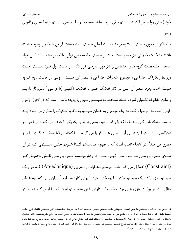| خود ) حتى روابط نيز قادرند سيستم تلقى شوند .مانند سيستم روابط سياسى سيستم روابط مدنى وقانونى |  |  |        |  |
|----------------------------------------------------------------------------------------------|--|--|--------|--|
|                                                                                              |  |  | وغيره. |  |

حالا اگر در درون سیستم ، علاوه بر مشخصات اصلی سیستم ، مشخصات فرعی یا مکمل وجود داشـته باشند ، تفکیک تکمیلی نیز میسر است .مثلا در سیستم جامعه ، می توان علاوه بر مشخصات کلی افراد جامعه ، مشخصات گروه های اجتماعی را نیز مورد بررسی قرار داد . در حالت اول فـرد سیـستم اسـت وروابط رنگارنگ اجتماعی ، مجموع مناسبات اجتماعی ، عنصر این سیستم ، ولـی در حالـت دوم گـروه سیستم است وفرد عنصر آن .پس در کنار تفکیک اصلی با تفکیک تکمیلی (یا فرعـی ) سـروکار داریــم وامکان تفکیک تکمیلی نمودار تضاد مشخصات سیستمی شیئی یا پدیده واقعی است که در تحول وتنوع کیفی است .لذا توصیف گسترده یک موضوع به عنوان سیستم به ناگزیر تفکیک را مطرح می سازد وبـه تناسب مشخصات کلی مختلف (که یا واقعا با هم زیستی دارند یا یکدیگر را حذف می کننـد ویـا در اثـر دگرگون شدن محیط پدید می اَیند وجای همدیگر را می گیرند ) تفکیکات واقعا ممکن دیگـری را نیـز مطرح می کند'. در اینجا مناسب است که با مفهوم مناسیستم آشـنا شـویم یعنـی سیـستمی کـه در آن سـوی مـورد بررسـی مـا قـرار مـی گیـرد .ولـی در رفتارسیـستم مـورد بررسـی نقـش تحمیـل گـر (Constraint) اعما ل می کند مانند سیستم مجـازات وتـشویق (Atgedonique) کـه در یـک سیستم بازی یا در یک سیستم اداری وغیره نقش خود را برای اداره وتنظیم آن بازی می کند .به عنوان مثال ساده تر پول در بازی های برد وباخت دار ، دارای نقش متاسیستم است که بـا ایـن کـه عمـلا در

<sup>1–</sup> بدین سان برخورد سیستمی با پیش کشیدن مقولاتی مانند سیستم ،عنصر (به مثابه کارکرد ) روابط ، مشخصات کلی سیستمی تفکیک نوع روابط محیط وامثال آن یا زبان دیگری که از درون علوم بیرون آمده وقابل تبدیل به بیان آکسیوماتیک وریاضی است .در واقع علم پیوندی وتاثیر متقابل وتضاد درونی روندهای وجودی *ر*ا در جهان نا*ز*یستمند وزیستمند (که دیالک تیک هگل طراح جامع آن د*ر* فلسفه معاصر است ). طرح می کند واین خود دو نکته *ر*ا می *ر*ساند ؛ نکته اول صحت طرح عمومی سیستم ها ، چنان که در پیش نیز یاد آور شده ایم د*ر* فصل دوم د*ر*با*ر*ه *ر*ابطه با دیالک تیک و تئوری سیستم بیشتر سخن خواهیم گفت .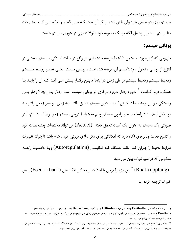| سیستم بازی دیده نمی شود ولی نقش تحمیل گر آن است کـه سـیر قمـار را اداره مـی کنـد .مقـولات |                                                                                |
|-------------------------------------------------------------------------------------------|--------------------------------------------------------------------------------|
|                                                                                           | متاسیستم ، تحمیل وعامل الگه دونیک به نوبه خود مقولات تهی در تئوری سیستم هاست . |

### یویایی سیستم :

مفهومی که از برخورد سیستمی تا اینجا عرضه داشته ایم .در واقع در حالت ایستائی سیـستم ، یعنــی در انتزاع از پوپایی ، تحول ، ودینامیسم آن عرضه شده است ، پوپایی سیستم یعنـی تغییـر روابـط سیـستم ومحیط سیستم ومحیط سیستم در طی زمان در اینجا مفهوم رفتـار پـیش مـی آیـد کـه آن را بایـد یـا عملکرد فرق گذاشت <sup>۱</sup> مفهوم رفتار مفهوم مرکزی در پویایی سیستم است .رفتار یعنی چه ؟ رفتار یعنی وابستگی خواص ومشخصات کلیتی که به عنوان سیستم تحقق یافته ، به زمان . و سیر زمانی رفتار بـه دو عامل ( هم به شرایط محیط پیرامون سیستم وهم به شرایط درونی سیستم ) مربـوط اسـت .تنهـا در صورتي يک سيستم به عنوان يک کليت تحقق يافته (Actuel) مي تواند مختصات ومشخصات خود را تداوم بخشد ویابرجای نگاه دارد که امکاناتی برای دگر سازی درونی خود داشته باشد تا بتواند تغییرات شرايط محيط را جبران كند .مانند دستگاه خود تنظيمـي (Autoregulation) ويـا خاصـيت رابطـه معکوس که در سیبرنتیک بیان می شود

(Ruckkupplung) <sup>۲</sup> این واژه را برخی با استفاده از معـادل انگلیـسی (Feed – back) پـس خوراند ترحمه کرده اند

**۱ – در اصطلاح آلمانی Verthalten وشایددر فرانسه Attitude ودر انگلیسی Behaviour باشد ) به هر جهت با کارکرد یا عملکرد** (Funtion) که هویت عنصر را به وجود می آورد فرق دا*ر*د .*ر*فتا*ر* در طول زمان ،در تاریخ انجام می گیرد ،کا*ر ک*رد مربوط به وظیفه ایست که عنصر یا سیستم هم اکنون انجام می دهند.

۲ - به عنوان توضیح در مورد رابطه یا بازتاب معکوس یا متعاکس این مثال ساده را می زنند سنگ چرخنده آسیاب ناوک را می لرزانند تا گندم خود را بیافشاند وناوک با ارزش خود سنگ آسیاب را با دانه تغذیه می کند تا اینکه یک عمل آرد کردن را انجام دهد .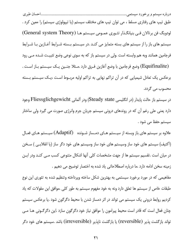طبق تیپ های رفتاری مسلط ، می توان تیپ های مختلف سیستم (یا تیپولوژی سیستم) را معین کرد . لودویگ فن برتالان فی بنیانگذار تئوری عمومی سیستم ها (General system Theory) سیستم های باز را از سیستم های بسته متمایز می کنـد .در سیـستم بـسته شـرایط آغـازین بـا شـرایط فرجامین همانند وبه هم وابسته است .ولی در سیستم باز که به سوی نوعی وضع تثبیت شـده مــی رود (Equifinalite) وضع فرجامین با وضع آغازین فـرق دارد .مـثلا جنـین یـک سیـستم بـاز اسـت . برعکس یک تعادل شیمیایی که در آن تراکم نهایی به تراکم اولیه مربـوط اسـت ،یـک سیـستم بـسته محسوب می گردد.

در سيستم باز حالت پايدار (در انگليسي Steady state) ودر آلماني Fliessglichgewicht وجود دارد یعنی علی رغم آن که در روندهای درونی سیستم جریان جرم وانرژی صورت می گیرد ولی ساختار سیستم حفظ مے شود .

علاوه بر سیستم های باز وبسته از سیـستم هـای دمـساز شـونده (Adaptif) سیـستم هـای فعـال (آکتیف) سیستم های خود ساز وسیستم های خود ساز وسیستم های خود دگر ساز (یا انقلابـی ) سـخن در میان است .تقسیم سیستم ها از جهت مشخصات کلی آنها اشکال متنوعی کسب مـی کنـد ودر ایـن زمینه سخن ادامه دارد .ما درباره اصطلاحاتی یاد شده به اختصار توضیح می دهیم .

مفاهیمی که در مورد برخورد سیستمی به بهترین شکل ساخته وپرداخته وتنظیم شده به تئوری این نوع طبقات خاص از سیستم ها تعلق دارد ونه به خود مفهوم سیستم به طور کلی .موافق این مقولات که یاد کردیم روابط درونی یک سیستم می تواند در اثر دمساز شدن با محیط دگرگون شود .یا برعکس سیستم چنان فعال است که قادر است محیط پیرامون را موافق نیاز خود دگرگون سازد .این دگرگـونی هـا مـی تواند بازگشت پذیر (reversible) یا بازگشت ناپذیر (irreversible) باشد .سیستم های خود دگر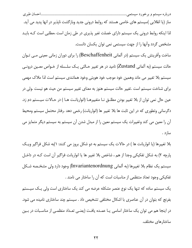ساز (یا انقلابی )سیستم های خاصی هستند که روابط درونی جدید وبازگشت ناپذیر در انها پدید می آید. لذا اینکه روابط درونی یک سیستم دارای خصلت تغیر پذیری در طی زمان است ،مطلبی است کـه بایـد مشخص گردد وآنها را از جهت سیستمی نمی توان یکسان دانست.

ساخت وآفرینش یک سیستم (در آلمانی Beschaffenheit) را برای دوران زمانی معینی مـی تـوان حالت سیستم (به آلمانی Zustand) نامید در هر تغییر حـالتی یـک سلـسله از خـواص معـین درونـی سیستم بلا تغییر می ماند وهمین خود موجب خود هویتی وخود همانندی سیستم است لذا ملاک مهمی برای شناخت سیستم است .تغییر حالت سیستم هنوز به معنای تغییر سیستم من حیث هو نیست .ولی در عین حال نمی توان از بلا تغییر بودن مطلـق نــا متغییرهــا (انواریانـت هــا ) در حــالات سیــستم دم زد. دگرسانی وتطوری که در این ثابت ها بلا تغییر ها (انواریانت) رخمی دهد .رفتار محتمل سیستم ومحیط آن را معین می کند وتغییرات یک سیستم معین را از مبدل شدن آن سیستم به سیستم دیگر متمایز می سازد .

بلا تغییرها (یا انواریانت ها ) در حالات یک سیستم به دو شکل بروز می کنند: ۱)به شکل فراگیر ویـک پارچه ۲) به شکل تفکیکی وجدا از هم ، شاخص بلا تغییر ها یا انواریانت فراگیر آن است کـه در داخـل سیستم یک نظام بلا تغییرها (به آلمانی Invariantenordnung) وجود دارد ولی مشخـصه شـكل تفکیکی وجود تعداد منتظمی از مناسبات است که آن را ساختار می نامند .

یک سیستم ساده که تنها یک نوع عنصر مشکله عرضه می کند یک ساختاری است ولی یـک سیـستم بفرنج که بتوان در آن عناصری با اشکال مختلفی تشخیص داد . سیستم چند ساختاری نامیده می شود. در اینجا هم می توان یک ساختار اساسی یـا عمـده یافـت (یعنـی تعـداد منظمـی از مناسـبات در بـین ساختارهای مختلف.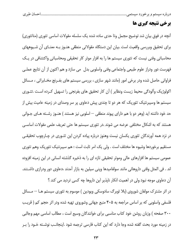...................................احسان طبر ي 

## برخي نتيجه گيري ها

آنچه در فوق بیان شد توضیح مجمل وتا حدی ساده شده یک سلسله مقولات اساسی تئوری (متاتئوری) برای تحقیق وبررسی واقعیت است .بیان این دستگاه مقولاتی منطقی هنـوز بـه معنـای آن شـیوههای محاسباتی وفنی نیست که تئوری سیستم ها را به افزار موثر کار تحقیقی ومحاسباتی واکتشافی در یـک فهرست دور ودراز علوم طبیعی واجتماعی وفنی واسلوبی بدل ً می سازد و هم اکنون از آن نتایج عملـی فراوانی حاصل شده ودر برخی امور (مانند شهر سازی ، بررسی سیستم های بفـرنج مخـابراتی ، مـسائل اکولوژیک وآلودگی محیط زیست ونظایر ) آن کار تحقیق های بفرنجی را تسهیل کـرده اسـت .تئـوری سیستم ها وسیبرنتیک تئوریک که هر دو تا چندی پیش دعاوی پر سر وصدای در زمینه عامیت بیش از حد خود داشته اید (وهر دو با هم دارای پیوند منطقی — اسلوبی نیز هستند ) هنــوز رشــته هــای جــوانی هستند که به اشکال مختلفی عرضه می شوند .در تئوری سیستم ها حتی تعریف علمی مقولات اساسـی در نزد همه آورندگان تئوری یکسان نیست وهنوز درباره پیاده کردن این تئـوری در چـارچوب تحقیقـی مستقيم برخوردها وشيوه ها مختلف است . ولي يک امر ثابت است : هم سيبرنتيک تئوريک وهم تئوري عمومی سیستم ها افزارهای عالی وموثر تحقیقی تازه ای را به ذخیره گذشته انسانی در این زمینه افزوده اند . في المثل وقتي داروهائي مانند سولفاميدها وپني سيلين به بازار آمدند ،دعاوي دور ودرازي داشـتند. آن دعاوی موجه نبود ولی در اهمیت انکار ناپذیر این داروها چه کسی تردید می کند ؟

در اثر مشترک مولفان شوروی (بلا ئوبرگ سادوسکی ویودین ) موسوم به تئوری سیستم هــا — مــسائل فلسفی واسلوبی که بر اساس مراجعه به ۴۰۵ منبع جهانی وشوروی تهیه شده ودر اثر حجم کم ( قریب ۳۰۰ صفحه ) وزبان روشن خود کتاب مناسبی برای خوانندگان وسیع است ، مطالب اساسی مهم وجالبی در زمینه مورد بحث گفته شده وجا دارد که این کتاب فارسی ترجمه شود .اینجانـب نوشـته خـود را بـر